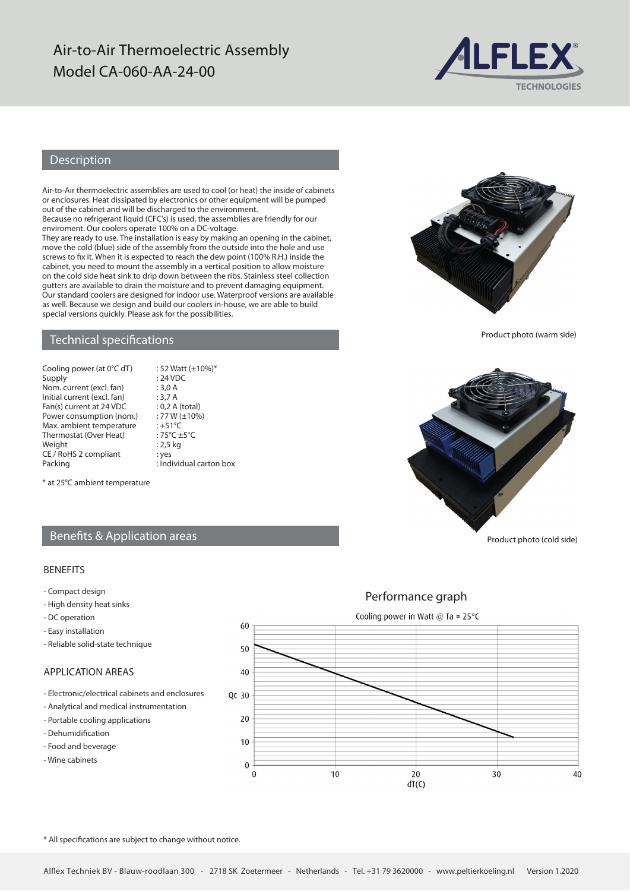## Air-to-Air Thermoelectric Assembly Model CA-060-AA-24-00



## Description

Air-to-Air thermoelectric assemblies are used to cool (or heat) the inside of cabinets or enclosures. Heat dissipated by electronics or other equipment will be pumped out of the cabinet and will be discharged to the environment.

Because no refrigerant liquid (CFC's) is used, the assemblies are friendly for our enviroment. Our coolers operate 100% on a DC-voltage.

They are ready to use. The installation is easy by making an opening in the cabinet, move the cold (blue) side of the assembly from the outside into the hole and use screws to fix it. When it is expected to reach the dew point (100% R.H.) inside the cabinet, you need to mount the assembly in a vertical position to allow moisture on the cold side heat sink to drip down between the ribs. Stainless steel collection gutters are available to drain the moisture and to prevent damaging equipment. Our standard coolers are designed for indoor use. Waterproof versions are available as well. Because we design and build our coolers in-house, we are able to build special versions quickly. Please ask for the possibilities.

 $: 52$  Watt ( $\pm 10\%$ )\*

### Technical specifications

| Cooling power (at 0°C dT)   |
|-----------------------------|
| Supply                      |
| Nom. current (excl. fan)    |
| Initial current (excl. fan) |
| Fan(s) current at 24 VDC    |
| Power consumption (nom.)    |
| Max. ambient temperature    |
| Thermostat (Over Heat)      |
| Weight                      |
| CE / RoHS 2 compliant       |
| <b>Dacking</b>              |

 $: 24$  VDC  $: 3.0 A$  $: 3,7 A$  $: 0, 2$  A (total)  $: 77 W (\pm 10\%)$  $\cdot +51$ °C  $:75^{\circ}C +5^{\circ}C$  $: 2,5$  kg : yes Packing **Example 2** : Individual carton box

\* at 25°C ambient temperature

## Benefits & Application areas

#### BENEFITS

- Compact design
- High density heat sinks
- DC operation
- Easy installation
- Reliable solid-state technique

### APPLICATION AREAS

- Electronic/electrical cabinets and enclosures
- Analytical and medical instrumentation
- Portable cooling applications
- Dehumidification
- Food and beverage
- Wine cabinets







Product photo (warm side)



Product photo (cold side)